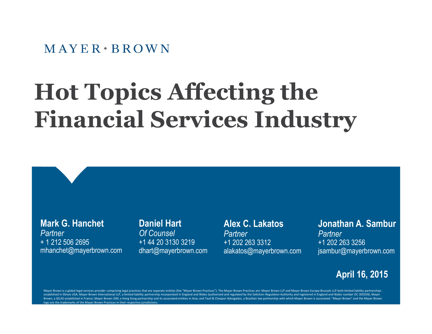#### $M$  AYER  $\cdot$  BROWN

# **Hot Topics Affecting the Financial Services Industry**

**Mark G. Hanchet** *Partner* + 1 212 506 2695 mhanchet@mayerbrown.com

#### **Daniel Hart**

*Of Counsel* +1 44 20 3130 3219 dhart@mayerbrown.com

#### **Alex C. Lakatos**

*Partner* +1 202 263 3312 alakatos@mayerbrown.com

#### **Jonathan A. Sambur** *Partner* +1 202 263 3256 jsambur@mayerbrown.com

#### **April 16, 2015**

Mayer Brown is a global legal services provider comprising legal practices that are separate entities (the "Mayer Brown Practices"). The Mayer Brown Practices are: Mayer Brown LLP and Mayer Brown Europe-Brussels LLP both l established in Illinois USA; Mayer Brown International LLP, a limited liability partnership incorporated in England and Wales (authorized and regulated by the Solicitors Regulation Authority and registered in England and W Brown, a SELAS established in France; Mayer Brown JSM, a Hong Kong partnership and its associated entities in Asia; and Tauil & Chequer Advogados, a Brazilian law partnership with which Mayer Brown is associated. "Mayer Br go are the trademarks of the Mayer Brown Practices in their respective jurisdictions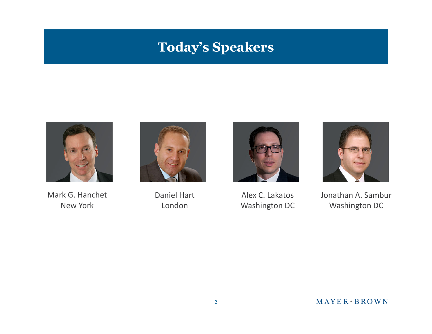## **Today's Speakers**



Mark G. Hanchet New York



Daniel Hart London



Alex C. Lakatos Washington DC



Jonathan A. Sambur Washington DC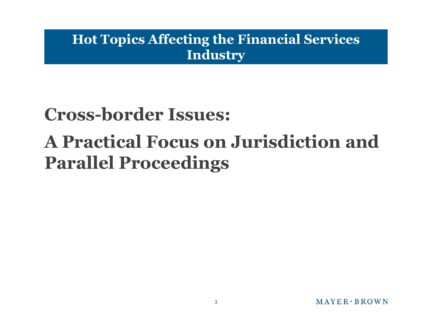### **Hot Topics Affecting the Financial Services Industry**

# **Cross-border Issues: A Practical Focus on Jurisdiction and Parallel Proceedings**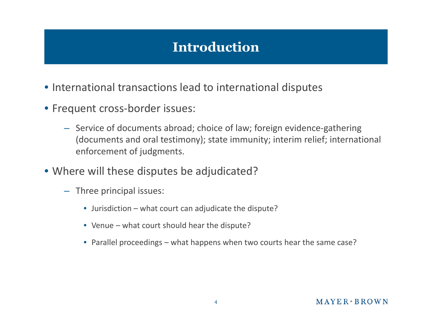## **Introduction**

- International transactions lead to international disputes
- Frequent cross-border issues:
	- Service of documents abroad; choice of law; foreign evidence-gathering (documents and oral testimony); state immunity; interim relief; international enforcement of judgments.
- Where will these disputes be adjudicated?
	- Three principal issues:
		- Jurisdiction what court can adjudicate the dispute?
		- Venue what court should hear the dispute?
		- Parallel proceedings what happens when two courts hear the same case?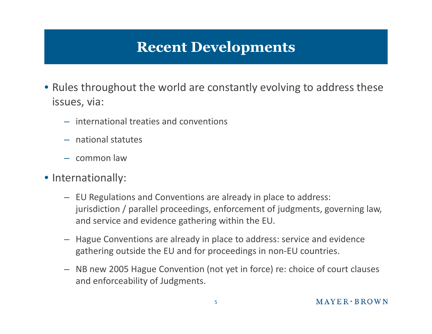# **Recent Developments**

- Rules throughout the world are constantly evolving to address these issues, via:
	- international treaties and conventions
	- national statutes
	- common law
- Internationally:
	- EU Regulations and Conventions are already in place to address: jurisdiction / parallel proceedings, enforcement of judgments, governing law, and service and evidence gathering within the EU.
	- Hague Conventions are already in place to address: service and evidence gathering outside the EU and for proceedings in non-EU countries.
	- NB new 2005 Hague Convention (not yet in force) re: choice of court clauses and enforceability of Judgments.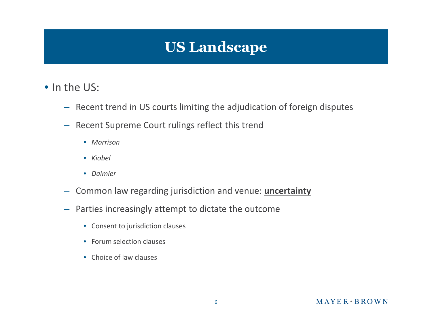

- In the US:
	- Recent trend in US courts limiting the adjudication of foreign disputes
	- Recent Supreme Court rulings reflect this trend
		- *Morrison*
		- *Kiobel*
		- *Daimler*
	- Common law regarding jurisdiction and venue: **uncertainty**
	- Parties increasingly attempt to dictate the outcome
		- Consent to jurisdiction clauses
		- Forum selection clauses
		- Choice of law clauses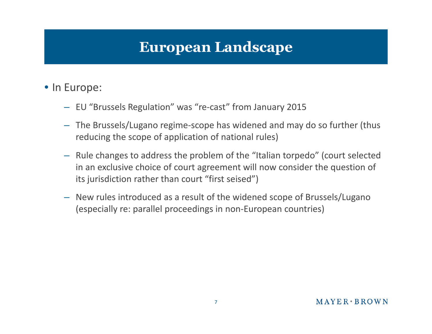## **European Landscape**

#### • In Europe:

- EU "Brussels Regulation" was "re-cast" from January 2015
- The Brussels/Lugano regime-scope has widened and may do so further (thus reducing the scope of application of national rules)
- Rule changes to address the problem of the "Italian torpedo" (court selected in an exclusive choice of court agreement will now consider the question of its jurisdiction rather than court "first seised")
- New rules introduced as a result of the widened scope of Brussels/Lugano (especially re: parallel proceedings in non-European countries)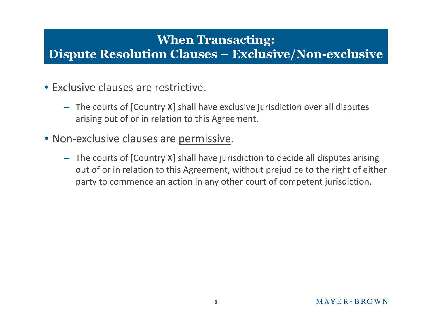#### **When Transacting: Dispute Resolution Clauses – Exclusive/Non-exclusive**

- Exclusive clauses are restrictive.
	- The courts of [Country X] shall have exclusive jurisdiction over all disputes arising out of or in relation to this Agreement.
- Non-exclusive clauses are permissive.
	- The courts of [Country X] shall have jurisdiction to decide all disputes arising out of or in relation to this Agreement, without prejudice to the right of either party to commence an action in any other court of competent jurisdiction.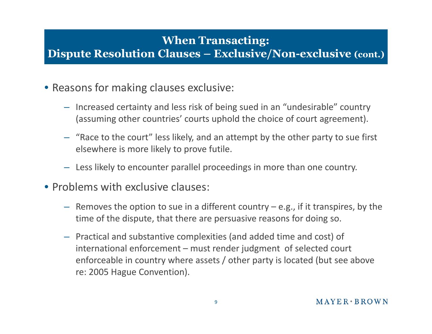#### **When Transacting: Dispute Resolution Clauses – Exclusive/Non-exclusive (cont.)**

- Reasons for making clauses exclusive:
	- Increased certainty and less risk of being sued in an "undesirable" country (assuming other countries' courts uphold the choice of court agreement).
	- "Race to the court" less likely, and an attempt by the other party to sue first elsewhere is more likely to prove futile.
	- Less likely to encounter parallel proceedings in more than one country.
- Problems with exclusive clauses:
	- $-$  Removes the option to sue in a different country  $-e.g.,$  if it transpires, by the time of the dispute, that there are persuasive reasons for doing so.
	- Practical and substantive complexities (and added time and cost) of international enforcement – must render judgment of selected court enforceable in country where assets / other party is located (but see above re: 2005 Hague Convention).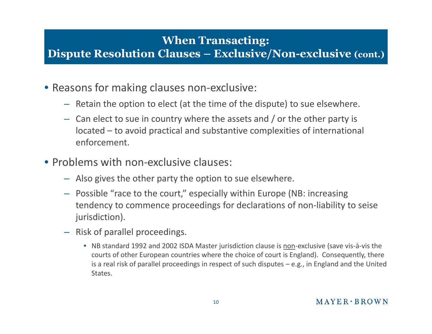#### **When Transacting: Dispute Resolution Clauses – Exclusive/Non-exclusive (cont.)**

- Reasons for making clauses non-exclusive:
	- Retain the option to elect (at the time of the dispute) to sue elsewhere.
	- Can elect to sue in country where the assets and / or the other party is located – to avoid practical and substantive complexities of international enforcement.
- Problems with non-exclusive clauses:
	- Also gives the other party the option to sue elsewhere.
	- Possible "race to the court," especially within Europe (NB: increasing tendency to commence proceedings for declarations of non-liability to seise jurisdiction).
	- Risk of parallel proceedings.
		- NB standard 1992 and 2002 ISDA Master jurisdiction clause is non-exclusive (save vis-à-vis the courts of other European countries where the choice of court is England). Consequently, there is a real risk of parallel proceedings in respect of such disputes – e.g., in England and the United States.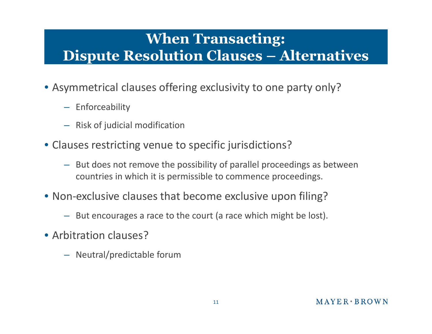# **When Transacting: Dispute Resolution Clauses – Alternatives**

- Asymmetrical clauses offering exclusivity to one party only?
	- Enforceability
	- Risk of judicial modification
- Clauses restricting venue to specific jurisdictions?
	- But does not remove the possibility of parallel proceedings as between countries in which it is permissible to commence proceedings.
- Non-exclusive clauses that become exclusive upon filing?
	- But encourages a race to the court (a race which might be lost).
- Arbitration clauses?
	- Neutral/predictable forum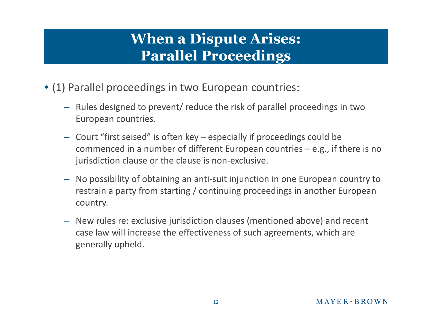# **When a Dispute Arises: Parallel Proceedings**

- (1) Parallel proceedings in two European countries:
	- Rules designed to prevent/ reduce the risk of parallel proceedings in two European countries.
	- Court "first seised" is often key especially if proceedings could be commenced in a number of different European countries – e.g., if there is no jurisdiction clause or the clause is non-exclusive.
	- No possibility of obtaining an anti-suit injunction in one European country to restrain a party from starting / continuing proceedings in another European country.
	- New rules re: exclusive jurisdiction clauses (mentioned above) and recent case law will increase the effectiveness of such agreements, which are generally upheld.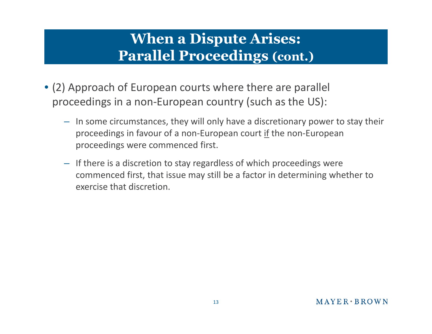# **When a Dispute Arises: Parallel Proceedings (cont.)**

- (2) Approach of European courts where there are parallel proceedings in a non-European country (such as the US):
	- In some circumstances, they will only have a discretionary power to stay their proceedings in favour of a non-European court if the non-European proceedings were commenced first.
	- If there is a discretion to stay regardless of which proceedings were commenced first, that issue may still be a factor in determining whether to exercise that discretion.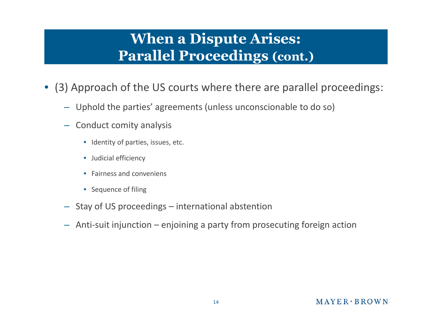# **When a Dispute Arises: Parallel Proceedings (cont.)**

- (3) Approach of the US courts where there are parallel proceedings:
	- Uphold the parties' agreements (unless unconscionable to do so)
	- Conduct comity analysis
		- Identity of parties, issues, etc.
		- Judicial efficiency
		- Fairness and conveniens
		- Sequence of filing
	- Stay of US proceedings international abstention
	- Anti-suit injunction enjoining a party from prosecuting foreign action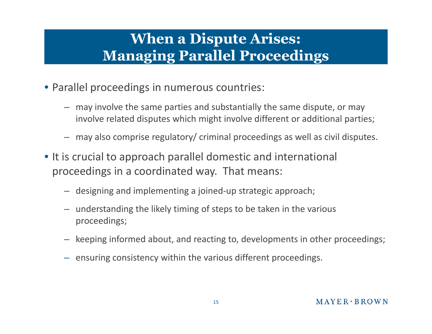# **When a Dispute Arises: Managing Parallel Proceedings**

- Parallel proceedings in numerous countries:
	- may involve the same parties and substantially the same dispute, or may involve related disputes which might involve different or additional parties;
	- may also comprise regulatory/ criminal proceedings as well as civil disputes.
- It is crucial to approach parallel domestic and international proceedings in a coordinated way. That means:
	- designing and implementing a joined-up strategic approach;
	- understanding the likely timing of steps to be taken in the various proceedings;
	- keeping informed about, and reacting to, developments in other proceedings;
	- ensuring consistency within the various different proceedings.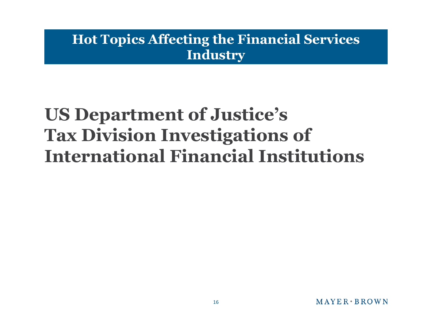### **Hot Topics Affecting the Financial Services Industry**

# **US Department of Justice's Tax Division Investigations of International Financial Institutions**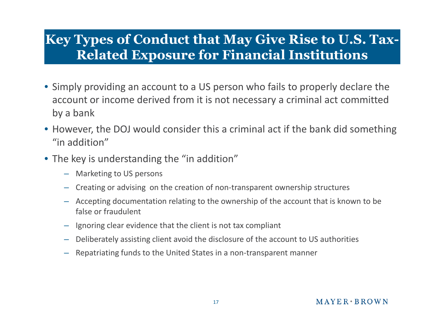### **Key Types of Conduct that May Give Rise to U.S. Tax-Related Exposure for Financial Institutions**

- Simply providing an account to a US person who fails to properly declare the account or income derived from it is not necessary a criminal act committed by a bank
- However, the DOJ would consider this a criminal act if the bank did something "in addition"
- The key is understanding the "in addition"
	- Marketing to US persons
	- Creating or advising on the creation of non-transparent ownership structures
	- Accepting documentation relating to the ownership of the account that is known to be false or fraudulent
	- Ignoring clear evidence that the client is not tax compliant
	- Deliberately assisting client avoid the disclosure of the account to US authorities
	- Repatriating funds to the United States in a non-transparent manner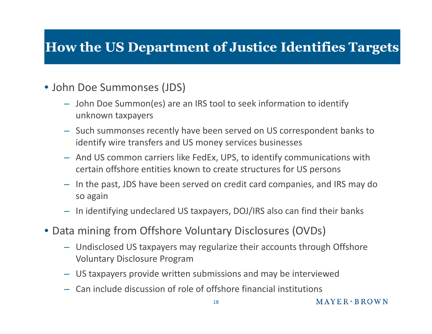## **How the US Department of Justice Identifies Targets**

#### • John Doe Summonses (JDS)

- John Doe Summon(es) are an IRS tool to seek information to identify unknown taxpayers
- Such summonses recently have been served on US correspondent banks to identify wire transfers and US money services businesses
- And US common carriers like FedEx, UPS, to identify communications with certain offshore entities known to create structures for US persons
- In the past, JDS have been served on credit card companies, and IRS may do so again
- In identifying undeclared US taxpayers, DOJ/IRS also can find their banks
- Data mining from Offshore Voluntary Disclosures (OVDs)
	- Undisclosed US taxpayers may regularize their accounts through Offshore Voluntary Disclosure Program
	- US taxpayers provide written submissions and may be interviewed
	- Can include discussion of role of offshore financial institutions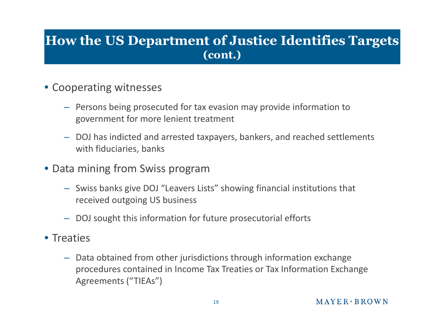#### **How the US Department of Justice Identifies Targets (cont.)**

- Cooperating witnesses
	- Persons being prosecuted for tax evasion may provide information to government for more lenient treatment
	- DOJ has indicted and arrested taxpayers, bankers, and reached settlements with fiduciaries, banks
- Data mining from Swiss program
	- Swiss banks give DOJ "Leavers Lists" showing financial institutions that received outgoing US business
	- DOJ sought this information for future prosecutorial efforts
- Treaties
	- Data obtained from other jurisdictions through information exchange procedures contained in Income Tax Treaties or Tax Information Exchange Agreements ("TIEAs")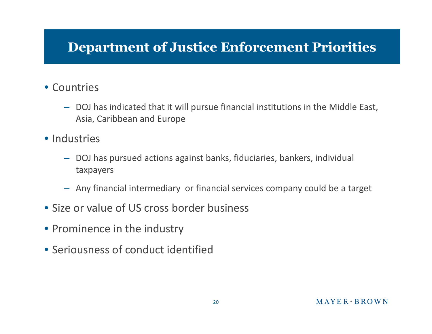## **Department of Justice Enforcement Priorities**

#### • Countries

- DOJ has indicated that it will pursue financial institutions in the Middle East, Asia, Caribbean and Europe
- Industries
	- DOJ has pursued actions against banks, fiduciaries, bankers, individual taxpayers
	- Any financial intermediary or financial services company could be a target
- Size or value of US cross border business
- Prominence in the industry
- Seriousness of conduct identified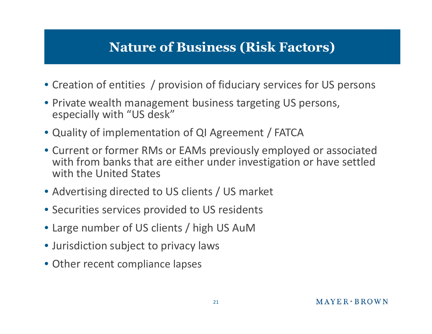## **Nature of Business (Risk Factors)**

- Creation of entities / provision of fiduciary services for US persons
- Private wealth management business targeting US persons, especially with "US desk"
- Quality of implementation of QI Agreement / FATCA
- Current or former RMs or EAMs previously employed or associated with from banks that are either under investigation or have settled with the United States
- Advertising directed to US clients / US market
- Securities services provided to US residents
- Large number of US clients / high US AuM
- Jurisdiction subject to privacy laws
- Other recent compliance lapses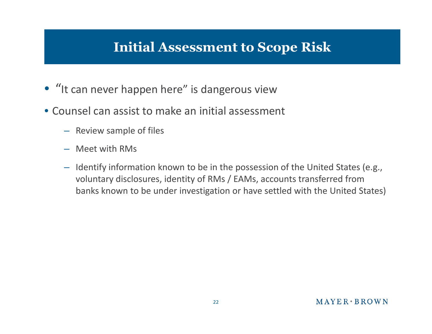## **Initial Assessment to Scope Risk**

- "It can never happen here" is dangerous view
- Counsel can assist to make an initial assessment
	- Review sample of files
	- Meet with RMs
	- Identify information known to be in the possession of the United States (e.g., voluntary disclosures, identity of RMs / EAMs, accounts transferred from banks known to be under investigation or have settled with the United States)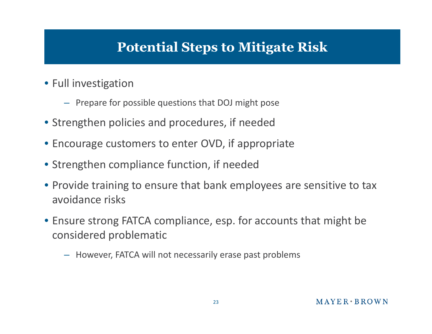## **Potential Steps to Mitigate Risk**

- Full investigation
	- Prepare for possible questions that DOJ might pose
- Strengthen policies and procedures, if needed
- Encourage customers to enter OVD, if appropriate
- Strengthen compliance function, if needed
- Provide training to ensure that bank employees are sensitive to tax avoidance risks
- Ensure strong FATCA compliance, esp. for accounts that might be considered problematic
	- However, FATCA will not necessarily erase past problems